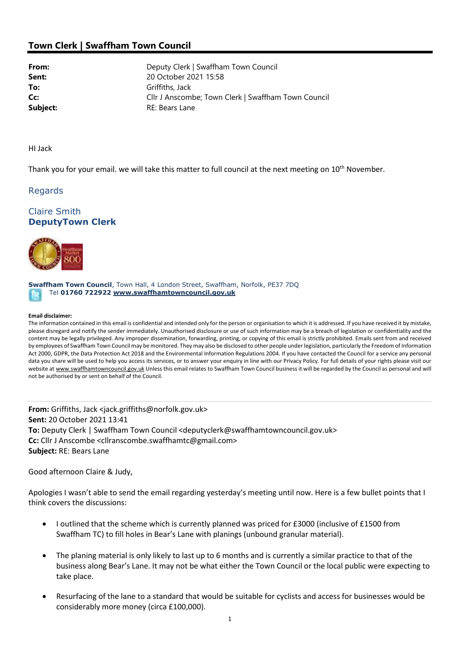# Town Clerk | Swaffham Town Council

**From:** Deputy Clerk | Swaffham Town Council Sent: 20 October 2021 15:58 To: Griffiths, Jack **Cc:** Cllr J Anscombe; Town Clerk | Swaffham Town Council Subject: RE: Bears Lane

HI Jack

Thank you for your email. we will take this matter to full council at the next meeting on 10<sup>th</sup> November.

## Regards

# Claire Smith DeputyTown Clerk



Swaffham Town Council, Town Hall, 4 London Street, Swaffham, Norfolk, PE37 7DQ Tel 01760 722922 www.swaffhamtowncouncil.gov.uk

#### Email disclaimer:

The information contained in this email is confidential and intended only for the person or organisation to which it is addressed. If you have received it by mistake, please disregard and notify the sender immediately. Unauthorised disclosure or use of such information may be a breach of legislation or confidentiality and the content may be legally privileged. Any improper dissemination, forwarding, printing, or copying of this email is strictly prohibited. Emails sent from and received by employees of Swaffham Town Council may be monitored. They may also be disclosed to other people under legislation, particularly the Freedom of Information Act 2000, GDPR, the Data Protection Act 2018 and the Environmental Information Regulations 2004. If you have contacted the Council for a service any personal data you share will be used to help you access its services, or to answer your enquiry in line with our Privacy Policy. For full details of your rights please visit our website at www.swaffhamtowncouncil.gov.uk Unless this email relates to Swaffham Town Council business it will be regarded by the Council as personal and will not be authorised by or sent on behalf of the Council.

From: Griffiths, Jack <jack.griffiths@norfolk.gov.uk> Sent: 20 October 2021 13:41 To: Deputy Clerk | Swaffham Town Council <deputyclerk@swaffhamtowncouncil.gov.uk> Cc: Cllr J Anscombe <cllranscombe.swaffhamtc@gmail.com> Subject: RE: Bears Lane

Good afternoon Claire & Judy,

Apologies I wasn't able to send the email regarding yesterday's meeting until now. Here is a few bullet points that I think covers the discussions:

- I outlined that the scheme which is currently planned was priced for £3000 (inclusive of £1500 from Swaffham TC) to fill holes in Bear's Lane with planings (unbound granular material).
- The planing material is only likely to last up to 6 months and is currently a similar practice to that of the business along Bear's Lane. It may not be what either the Town Council or the local public were expecting to take place.
- Resurfacing of the lane to a standard that would be suitable for cyclists and access for businesses would be considerably more money (circa £100,000).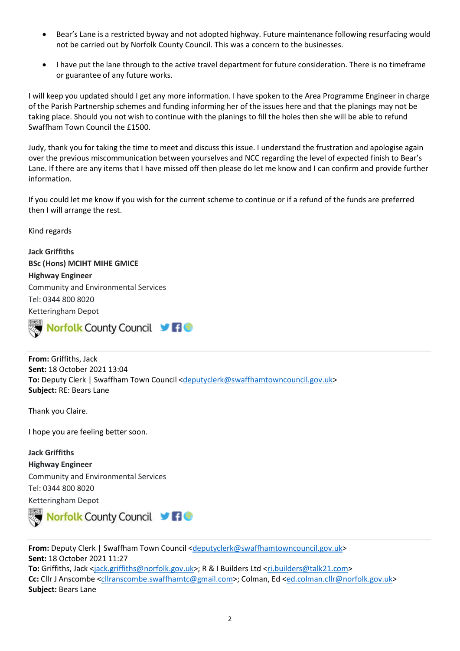- Bear's Lane is a restricted byway and not adopted highway. Future maintenance following resurfacing would not be carried out by Norfolk County Council. This was a concern to the businesses.
- I have put the lane through to the active travel department for future consideration. There is no timeframe or guarantee of any future works.

I will keep you updated should I get any more information. I have spoken to the Area Programme Engineer in charge of the Parish Partnership schemes and funding informing her of the issues here and that the planings may not be taking place. Should you not wish to continue with the planings to fill the holes then she will be able to refund Swaffham Town Council the £1500.

Judy, thank you for taking the time to meet and discuss this issue. I understand the frustration and apologise again over the previous miscommunication between yourselves and NCC regarding the level of expected finish to Bear's Lane. If there are any items that I have missed off then please do let me know and I can confirm and provide further information.

If you could let me know if you wish for the current scheme to continue or if a refund of the funds are preferred then I will arrange the rest.

Kind regards

Jack Griffiths BSc (Hons) MCIHT MIHE GMICE Highway Engineer Community and Environmental Services Tel: 0344 800 8020 Ketteringham Depot



From: Griffiths, Jack Sent: 18 October 2021 13:04 To: Deputy Clerk | Swaffham Town Council <deputyclerk@swaffhamtowncouncil.gov.uk> Subject: RE: Bears Lane

Thank you Claire.

I hope you are feeling better soon.

Jack Griffiths Highway Engineer Community and Environmental Services Tel: 0344 800 8020 Ketteringham Depot



From: Deputy Clerk | Swaffham Town Council <deputyclerk@swaffhamtowncouncil.gov.uk> Sent: 18 October 2021 11:27 To: Griffiths, Jack <jack.griffiths@norfolk.gov.uk>; R & I Builders Ltd <ri.builders@talk21.com> Cc: Cllr J Anscombe <cllranscombe.swaffhamtc@gmail.com>; Colman, Ed <ed.colman.cllr@norfolk.gov.uk> Subject: Bears Lane